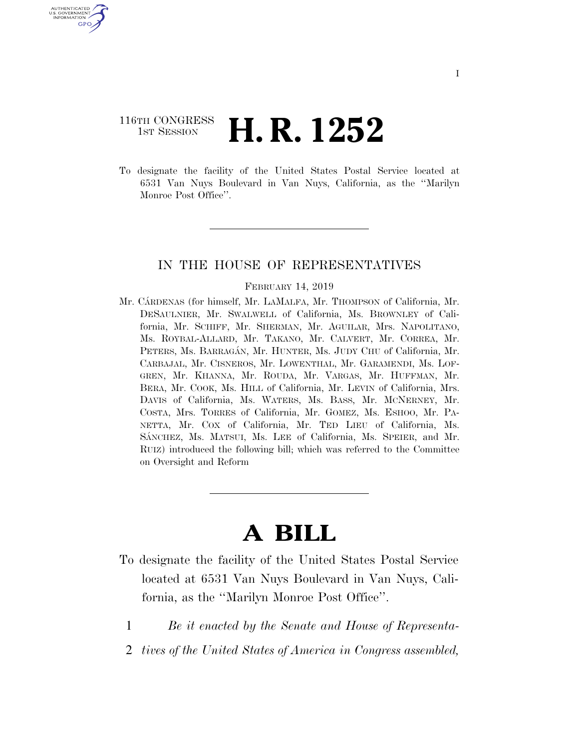# 116TH CONGRESS <sup>TH CONGRESS</sup>  $\,$  **H. R. 1252**

U.S. GOVERNMENT GPO

> To designate the facility of the United States Postal Service located at 6531 Van Nuys Boulevard in Van Nuys, California, as the ''Marilyn Monroe Post Office".

## IN THE HOUSE OF REPRESENTATIVES

#### FEBRUARY 14, 2019

Mr. CÁRDENAS (for himself, Mr. LAMALFA, Mr. THOMPSON of California, Mr. DESAULNIER, Mr. SWALWELL of California, Ms. BROWNLEY of California, Mr. SCHIFF, Mr. SHERMAN, Mr. AGUILAR, Mrs. NAPOLITANO, Ms. ROYBAL-ALLARD, Mr. TAKANO, Mr. CALVERT, Mr. CORREA, Mr. PETERS, Ms. BARRAGÁN, Mr. HUNTER, Ms. JUDY CHU of California, Mr. CARBAJAL, Mr. CISNEROS, Mr. LOWENTHAL, Mr. GARAMENDI, Ms. LOF-GREN, Mr. KHANNA, Mr. ROUDA, Mr. VARGAS, Mr. HUFFMAN, Mr. BERA, Mr. COOK, Ms. HILL of California, Mr. LEVIN of California, Mrs. DAVIS of California, Ms. WATERS, Ms. BASS, Mr. MCNERNEY, Mr. COSTA, Mrs. TORRES of California, Mr. GOMEZ, Ms. ESHOO, Mr. PA-NETTA, Mr. COX of California, Mr. TED LIEU of California, Ms. SÁNCHEZ, Ms. MATSUI, Ms. LEE of California, Ms. SPEIER, and Mr. RUIZ) introduced the following bill; which was referred to the Committee on Oversight and Reform

# **A BILL**

- To designate the facility of the United States Postal Service located at 6531 Van Nuys Boulevard in Van Nuys, California, as the ''Marilyn Monroe Post Office''.
	- 1 *Be it enacted by the Senate and House of Representa-*
	- 2 *tives of the United States of America in Congress assembled,*